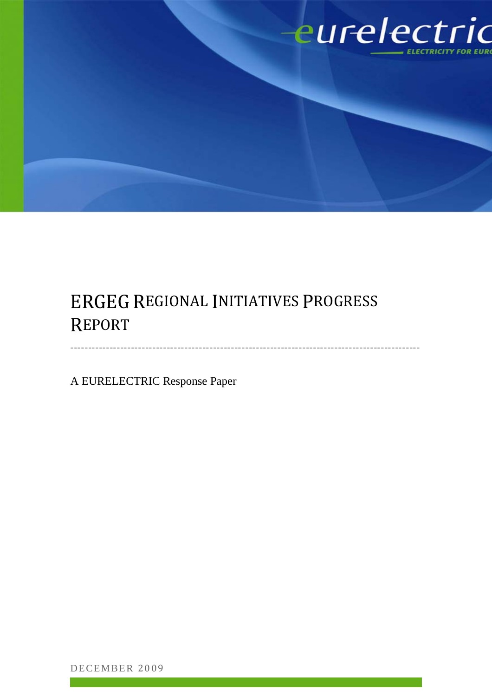

# ERGEG REGIONAL INITIATIVES PROGRESS REPORT

‐‐‐‐‐‐‐‐‐‐‐‐‐‐‐‐‐‐‐‐‐‐‐‐‐‐‐‐‐‐‐‐‐‐‐‐‐‐‐‐‐‐‐‐‐‐‐‐‐‐‐‐‐‐‐‐‐‐‐‐‐‐‐‐‐‐‐‐‐‐‐‐‐‐‐‐‐‐‐‐‐‐‐‐‐‐‐‐‐‐‐‐‐‐‐‐‐‐

A EURELECTRIC Response Paper

DECEMBER 2009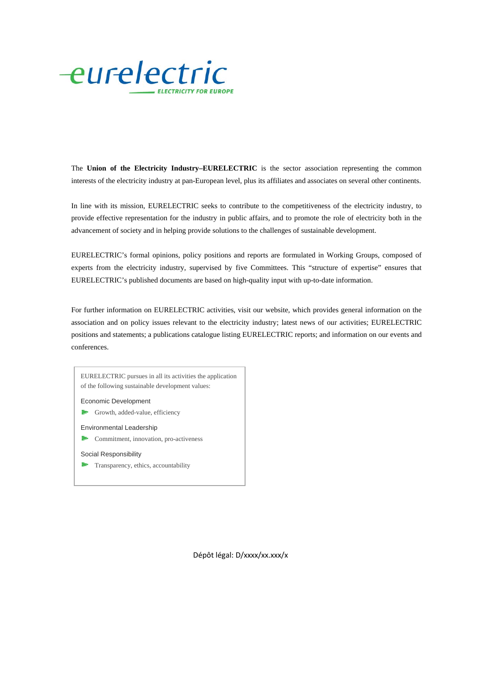

The **Union of the Electricity Industry–EURELECTRIC** is the sector association representing the common interests of the electricity industry at pan-European level, plus its affiliates and associates on several other continents.

In line with its mission, EURELECTRIC seeks to contribute to the competitiveness of the electricity industry, to provide effective representation for the industry in public affairs, and to promote the role of electricity both in the advancement of society and in helping provide solutions to the challenges of sustainable development.

EURELECTRIC's formal opinions, policy positions and reports are formulated in Working Groups, composed of experts from the electricity industry, supervised by five Committees. This "structure of expertise" ensures that EURELECTRIC's published documents are based on high-quality input with up-to-date information.

For further information on EURELECTRIC activities, visit our website, which provides general information on the association and on policy issues relevant to the electricity industry; latest news of our activities; EURELECTRIC positions and statements; a publications catalogue listing EURELECTRIC reports; and information on our events and conferences.



Dépôt légal: D/xxxx/xx.xxx/x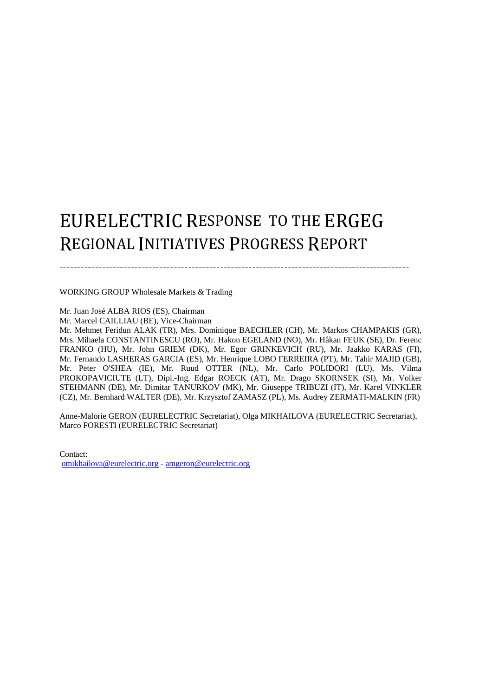# EURELECTRIC RESPONSE TO THE ERGEG REGIONAL INITIATIVES PROGRESS REPORT

‐‐‐‐‐‐‐‐‐‐‐‐‐‐‐‐‐‐‐‐‐‐‐‐‐‐‐‐‐‐‐‐‐‐‐‐‐‐‐‐‐‐‐‐‐‐‐‐‐‐‐‐‐‐‐‐‐‐‐‐‐‐‐‐‐‐‐‐‐‐‐‐‐‐‐‐‐‐‐‐‐‐‐‐‐‐‐‐‐‐‐‐‐‐‐‐‐‐

WORKING GROUP Wholesale Markets & Trading

Mr. Juan José ALBA RIOS (ES), Chairman Mr. Marcel CAILLIAU (BE), Vice-Chairman Mr. Mehmet Feridun ALAK (TR), Mrs. Dominique BAECHLER (CH), Mr. Markos CHAMPAKIS (GR), Mrs. Mihaela CONSTANTINESCU (RO), Mr. Hakon EGELAND (NO), Mr. Håkan FEUK (SE), Dr. Ferenc FRANKO (HU), Mr. John GRIEM (DK), Mr. Egor GRINKEVICH (RU), Mr. Jaakko KARAS (FI), Mr. Fernando LASHERAS GARCIA (ES), Mr. Henrique LOBO FERREIRA (PT), Mr. Tahir MAJID (GB), Mr. Peter O'SHEA (IE), Mr. Ruud OTTER (NL), Mr. Carlo POLIDORI (LU), Ms. Vilma PROKOPAVICIUTE (LT), Dipl.-Ing. Edgar ROECK (AT), Mr. Drago SKORNSEK (SI), Mr. Volker STEHMANN (DE), Mr. Dimitar TANURKOV (MK), Mr. Giuseppe TRIBUZI (IT), Mr. Karel VINKLER (CZ), Mr. Bernhard WALTER (DE), Mr. Krzysztof ZAMASZ (PL), Ms. Audrey ZERMATI-MALKIN (FR)

Anne-Malorie GERON (EURELECTRIC Secretariat), Olga MIKHAILOVA (EURELECTRIC Secretariat), Marco FORESTI (EURELECTRIC Secretariat)

Contact: omikhailova@eurelectric.org - amgeron@eurelectric.org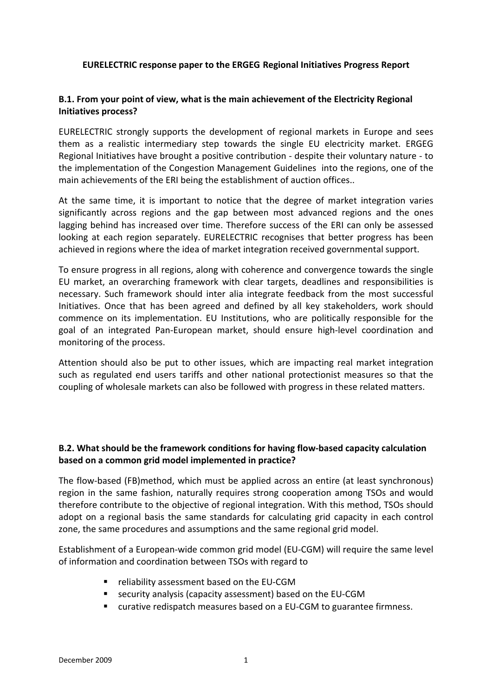#### **EURELECTRIC response paper to the ERGEG Regional Initiatives Progress Report**

## **B.1. From your point of view, what is the main achievement of the Electricity Regional Initiatives process?**

EURELECTRIC strongly supports the development of regional markets in Europe and sees them as a realistic intermediary step towards the single EU electricity market. ERGEG Regional Initiatives have brought a positive contribution ‐ despite their voluntary nature ‐ to the implementation of the Congestion Management Guidelines into the regions, one of the main achievements of the ERI being the establishment of auction offices..

At the same time, it is important to notice that the degree of market integration varies significantly across regions and the gap between most advanced regions and the ones lagging behind has increased over time. Therefore success of the ERI can only be assessed looking at each region separately. EURELECTRIC recognises that better progress has been achieved in regions where the idea of market integration received governmental support.

To ensure progress in all regions, along with coherence and convergence towards the single EU market, an overarching framework with clear targets, deadlines and responsibilities is necessary. Such framework should inter alia integrate feedback from the most successful Initiatives. Once that has been agreed and defined by all key stakeholders, work should commence on its implementation. EU Institutions, who are politically responsible for the goal of an integrated Pan‐European market, should ensure high‐level coordination and monitoring of the process.

Attention should also be put to other issues, which are impacting real market integration such as regulated end users tariffs and other national protectionist measures so that the coupling of wholesale markets can also be followed with progress in these related matters.

## **B.2. What should be the framework conditions for having flow‐based capacity calculation based on a common grid model implemented in practice?**

The flow‐based (FB)method, which must be applied across an entire (at least synchronous) region in the same fashion, naturally requires strong cooperation among TSOs and would therefore contribute to the objective of regional integration. With this method, TSOs should adopt on a regional basis the same standards for calculating grid capacity in each control zone, the same procedures and assumptions and the same regional grid model.

Establishment of a European‐wide common grid model (EU‐CGM) will require the same level of information and coordination between TSOs with regard to

- reliability assessment based on the EU-CGM
- security analysis (capacity assessment) based on the EU-CGM
- curative redispatch measures based on a EU-CGM to guarantee firmness.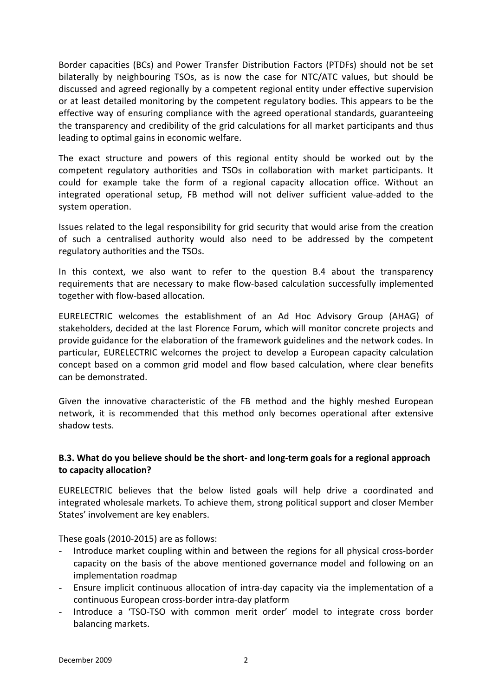Border capacities (BCs) and Power Transfer Distribution Factors (PTDFs) should not be set bilaterally by neighbouring TSOs, as is now the case for NTC/ATC values, but should be discussed and agreed regionally by a competent regional entity under effective supervision or at least detailed monitoring by the competent regulatory bodies. This appears to be the effective way of ensuring compliance with the agreed operational standards, guaranteeing the transparency and credibility of the grid calculations for all market participants and thus leading to optimal gains in economic welfare.

The exact structure and powers of this regional entity should be worked out by the competent regulatory authorities and TSOs in collaboration with market participants. It could for example take the form of a regional capacity allocation office. Without an integrated operational setup, FB method will not deliver sufficient value-added to the system operation.

Issues related to the legal responsibility for grid security that would arise from the creation of such a centralised authority would also need to be addressed by the competent regulatory authorities and the TSOs.

In this context, we also want to refer to the question B.4 about the transparency requirements that are necessary to make flow‐based calculation successfully implemented together with flow‐based allocation.

EURELECTRIC welcomes the establishment of an Ad Hoc Advisory Group (AHAG) of stakeholders, decided at the last Florence Forum, which will monitor concrete projects and provide guidance for the elaboration of the framework guidelines and the network codes. In particular, EURELECTRIC welcomes the project to develop a European capacity calculation concept based on a common grid model and flow based calculation, where clear benefits can be demonstrated.

Given the innovative characteristic of the FB method and the highly meshed European network, it is recommended that this method only becomes operational after extensive shadow tests.

# **B.3. What do you believe should be the short‐ and long‐term goals for a regional approach to capacity allocation?**

EURELECTRIC believes that the below listed goals will help drive a coordinated and integrated wholesale markets. To achieve them, strong political support and closer Member States' involvement are key enablers.

These goals (2010‐2015) are as follows:

- Introduce market coupling within and between the regions for all physical cross-border capacity on the basis of the above mentioned governance model and following on an implementation roadmap
- Ensure implicit continuous allocation of intra‐day capacity via the implementation of a continuous European cross‐border intra‐day platform
- Introduce a 'TSO-TSO with common merit order' model to integrate cross border balancing markets.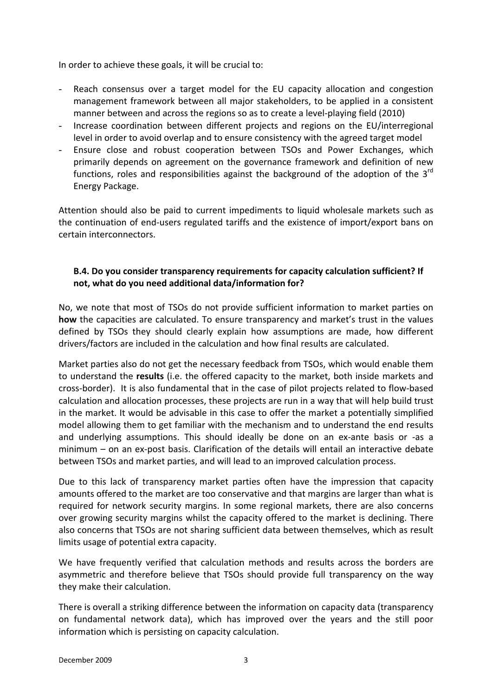In order to achieve these goals, it will be crucial to:

- Reach consensus over a target model for the EU capacity allocation and congestion management framework between all major stakeholders, to be applied in a consistent manner between and across the regions so as to create a level‐playing field (2010)
- Increase coordination between different projects and regions on the EU/interregional level in order to avoid overlap and to ensure consistency with the agreed target model
- Ensure close and robust cooperation between TSOs and Power Exchanges, which primarily depends on agreement on the governance framework and definition of new functions, roles and responsibilities against the background of the adoption of the  $3^{rd}$ Energy Package.

Attention should also be paid to current impediments to liquid wholesale markets such as the continuation of end‐users regulated tariffs and the existence of import/export bans on certain interconnectors.

## **B.4. Do you consider transparency requirements for capacity calculation sufficient? If not, what do you need additional data/information for?**

No, we note that most of TSOs do not provide sufficient information to market parties on **how** the capacities are calculated. To ensure transparency and market's trust in the values defined by TSOs they should clearly explain how assumptions are made, how different drivers/factors are included in the calculation and how final results are calculated.

Market parties also do not get the necessary feedback from TSOs, which would enable them to understand the **results** (i.e. the offered capacity to the market, both inside markets and cross‐border). It is also fundamental that in the case of pilot projects related to flow‐based calculation and allocation processes, these projects are run in a way that will help build trust in the market. It would be advisable in this case to offer the market a potentially simplified model allowing them to get familiar with the mechanism and to understand the end results and underlying assumptions. This should ideally be done on an ex‐ante basis or ‐as a minimum – on an ex-post basis. Clarification of the details will entail an interactive debate between TSOs and market parties, and will lead to an improved calculation process.

Due to this lack of transparency market parties often have the impression that capacity amounts offered to the market are too conservative and that margins are larger than what is required for network security margins. In some regional markets, there are also concerns over growing security margins whilst the capacity offered to the market is declining. There also concerns that TSOs are not sharing sufficient data between themselves, which as result limits usage of potential extra capacity.

We have frequently verified that calculation methods and results across the borders are asymmetric and therefore believe that TSOs should provide full transparency on the way they make their calculation.

There is overall a striking difference between the information on capacity data (transparency on fundamental network data), which has improved over the years and the still poor information which is persisting on capacity calculation.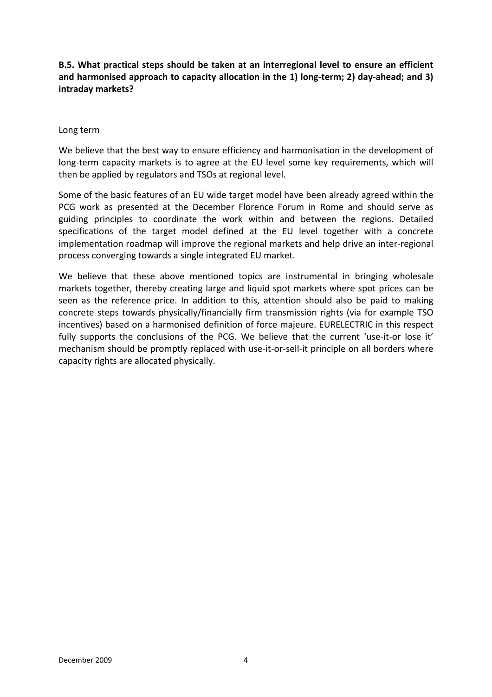## **B.5. What practical steps should be taken at an interregional level to ensure an efficient and harmonised approach to capacity allocation in the 1) long‐term; 2) day‐ahead; and 3) intraday markets?**

#### Long term

We believe that the best way to ensure efficiency and harmonisation in the development of long-term capacity markets is to agree at the EU level some key requirements, which will then be applied by regulators and TSOs at regional level.

Some of the basic features of an EU wide target model have been already agreed within the PCG work as presented at the December Florence Forum in Rome and should serve as guiding principles to coordinate the work within and between the regions. Detailed specifications of the target model defined at the EU level together with a concrete implementation roadmap will improve the regional markets and help drive an inter‐regional process converging towards a single integrated EU market.

We believe that these above mentioned topics are instrumental in bringing wholesale markets together, thereby creating large and liquid spot markets where spot prices can be seen as the reference price. In addition to this, attention should also be paid to making concrete steps towards physically/financially firm transmission rights (via for example TSO incentives) based on a harmonised definition of force majeure. EURELECTRIC in this respect fully supports the conclusions of the PCG. We believe that the current 'use-it-or lose it' mechanism should be promptly replaced with use‐it‐or‐sell‐it principle on all borders where capacity rights are allocated physically.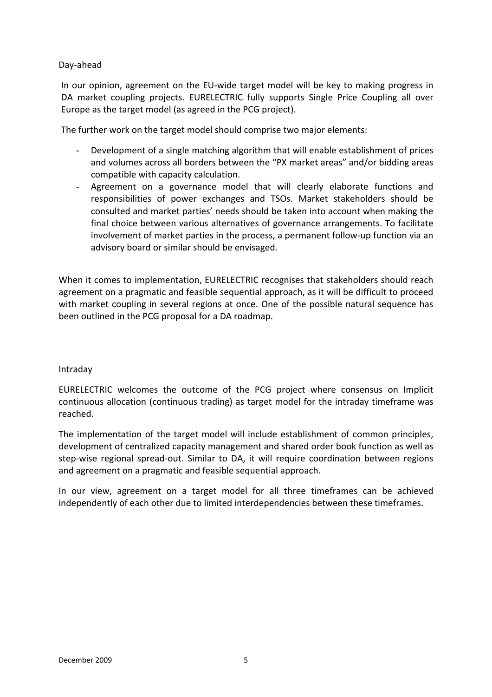#### Day‐ahead

In our opinion, agreement on the EU-wide target model will be key to making progress in DA market coupling projects. EURELECTRIC fully supports Single Price Coupling all over Europe as the target model (as agreed in the PCG project).

The further work on the target model should comprise two major elements:

- Development of a single matching algorithm that will enable establishment of prices and volumes across all borders between the "PX market areas" and/or bidding areas compatible with capacity calculation.
- Agreement on a governance model that will clearly elaborate functions and responsibilities of power exchanges and TSOs. Market stakeholders should be consulted and market parties' needs should be taken into account when making the final choice between various alternatives of governance arrangements. To facilitate involvement of market parties in the process, a permanent follow‐up function via an advisory board or similar should be envisaged.

When it comes to implementation, EURELECTRIC recognises that stakeholders should reach agreement on a pragmatic and feasible sequential approach, as it will be difficult to proceed with market coupling in several regions at once. One of the possible natural sequence has been outlined in the PCG proposal for a DA roadmap.

#### Intraday

EURELECTRIC welcomes the outcome of the PCG project where consensus on Implicit continuous allocation (continuous trading) as target model for the intraday timeframe was reached.

The implementation of the target model will include establishment of common principles, development of centralized capacity management and shared order book function as well as step-wise regional spread-out. Similar to DA, it will require coordination between regions and agreement on a pragmatic and feasible sequential approach.

In our view, agreement on a target model for all three timeframes can be achieved independently of each other due to limited interdependencies between these timeframes.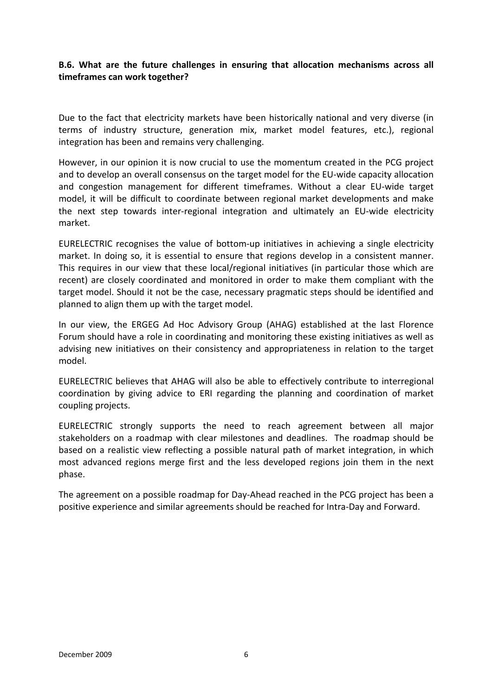### **B.6. What are the future challenges in ensuring that allocation mechanisms across all timeframes can work together?**

Due to the fact that electricity markets have been historically national and very diverse (in terms of industry structure, generation mix, market model features, etc.), regional integration has been and remains very challenging.

However, in our opinion it is now crucial to use the momentum created in the PCG project and to develop an overall consensus on the target model for the EU-wide capacity allocation and congestion management for different timeframes. Without a clear EU‐wide target model, it will be difficult to coordinate between regional market developments and make the next step towards inter‐regional integration and ultimately an EU‐wide electricity market.

EURELECTRIC recognises the value of bottom‐up initiatives in achieving a single electricity market. In doing so, it is essential to ensure that regions develop in a consistent manner. This requires in our view that these local/regional initiatives (in particular those which are recent) are closely coordinated and monitored in order to make them compliant with the target model. Should it not be the case, necessary pragmatic steps should be identified and planned to align them up with the target model.

In our view, the ERGEG Ad Hoc Advisory Group (AHAG) established at the last Florence Forum should have a role in coordinating and monitoring these existing initiatives as well as advising new initiatives on their consistency and appropriateness in relation to the target model.

EURELECTRIC believes that AHAG will also be able to effectively contribute to interregional coordination by giving advice to ERI regarding the planning and coordination of market coupling projects.

EURELECTRIC strongly supports the need to reach agreement between all major stakeholders on a roadmap with clear milestones and deadlines. The roadmap should be based on a realistic view reflecting a possible natural path of market integration, in which most advanced regions merge first and the less developed regions join them in the next phase.

The agreement on a possible roadmap for Day‐Ahead reached in the PCG project has been a positive experience and similar agreements should be reached for Intra‐Day and Forward.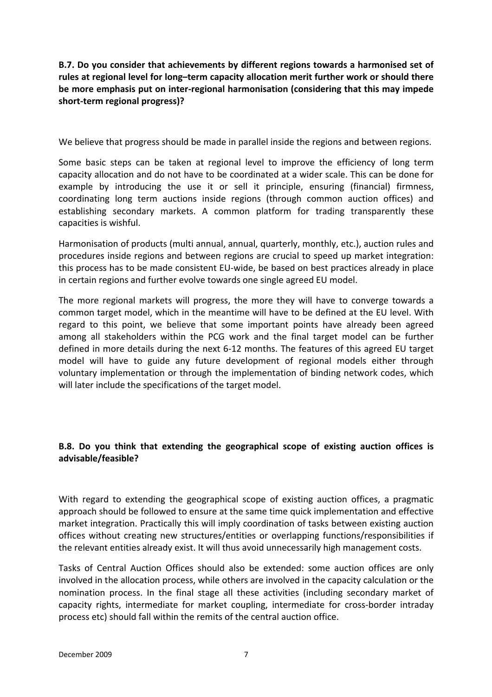**B.7. Do you consider that achievements by different regions towards a harmonised set of rules at regional level for long–term capacity allocation merit further work or should there be more emphasis put on inter‐regional harmonisation (considering that this may impede short‐term regional progress)?**

We believe that progress should be made in parallel inside the regions and between regions.

Some basic steps can be taken at regional level to improve the efficiency of long term capacity allocation and do not have to be coordinated at a wider scale. This can be done for example by introducing the use it or sell it principle, ensuring (financial) firmness, coordinating long term auctions inside regions (through common auction offices) and establishing secondary markets. A common platform for trading transparently these capacities is wishful.

Harmonisation of products (multi annual, annual, quarterly, monthly, etc.), auction rules and procedures inside regions and between regions are crucial to speed up market integration: this process has to be made consistent EU‐wide, be based on best practices already in place in certain regions and further evolve towards one single agreed EU model.

The more regional markets will progress, the more they will have to converge towards a common target model, which in the meantime will have to be defined at the EU level. With regard to this point, we believe that some important points have already been agreed among all stakeholders within the PCG work and the final target model can be further defined in more details during the next 6‐12 months. The features of this agreed EU target model will have to guide any future development of regional models either through voluntary implementation or through the implementation of binding network codes, which will later include the specifications of the target model.

# **B.8. Do you think that extending the geographical scope of existing auction offices is advisable/feasible?**

With regard to extending the geographical scope of existing auction offices, a pragmatic approach should be followed to ensure at the same time quick implementation and effective market integration. Practically this will imply coordination of tasks between existing auction offices without creating new structures/entities or overlapping functions/responsibilities if the relevant entities already exist. It will thus avoid unnecessarily high management costs.

Tasks of Central Auction Offices should also be extended: some auction offices are only involved in the allocation process, while others are involved in the capacity calculation or the nomination process. In the final stage all these activities (including secondary market of capacity rights, intermediate for market coupling, intermediate for cross-border intraday process etc) should fall within the remits of the central auction office.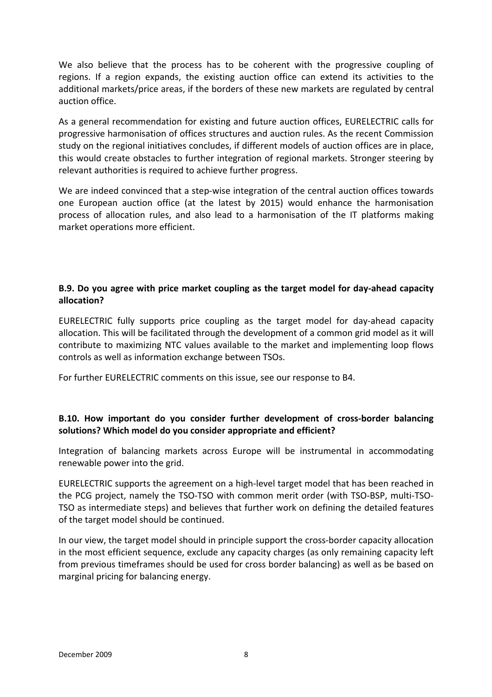We also believe that the process has to be coherent with the progressive coupling of regions. If a region expands, the existing auction office can extend its activities to the additional markets/price areas, if the borders of these new markets are regulated by central auction office.

As a general recommendation for existing and future auction offices, EURELECTRIC calls for progressive harmonisation of offices structures and auction rules. As the recent Commission study on the regional initiatives concludes, if different models of auction offices are in place, this would create obstacles to further integration of regional markets. Stronger steering by relevant authorities is required to achieve further progress.

We are indeed convinced that a step-wise integration of the central auction offices towards one European auction office (at the latest by 2015) would enhance the harmonisation process of allocation rules, and also lead to a harmonisation of the IT platforms making market operations more efficient.

## **B.9. Do you agree with price market coupling as the target model for day‐ahead capacity allocation?**

EURELECTRIC fully supports price coupling as the target model for day‐ahead capacity allocation. This will be facilitated through the development of a common grid model as it will contribute to maximizing NTC values available to the market and implementing loop flows controls as well as information exchange between TSOs.

For further EURELECTRIC comments on this issue, see our response to B4.

# **B.10. How important do you consider further development of cross‐border balancing solutions? Which model do you consider appropriate and efficient?**

Integration of balancing markets across Europe will be instrumental in accommodating renewable power into the grid.

EURELECTRIC supports the agreement on a high‐level target model that has been reached in the PCG project, namely the TSO‐TSO with common merit order (with TSO‐BSP, multi‐TSO‐ TSO as intermediate steps) and believes that further work on defining the detailed features of the target model should be continued.

In our view, the target model should in principle support the cross-border capacity allocation in the most efficient sequence, exclude any capacity charges (as only remaining capacity left from previous timeframes should be used for cross border balancing) as well as be based on marginal pricing for balancing energy.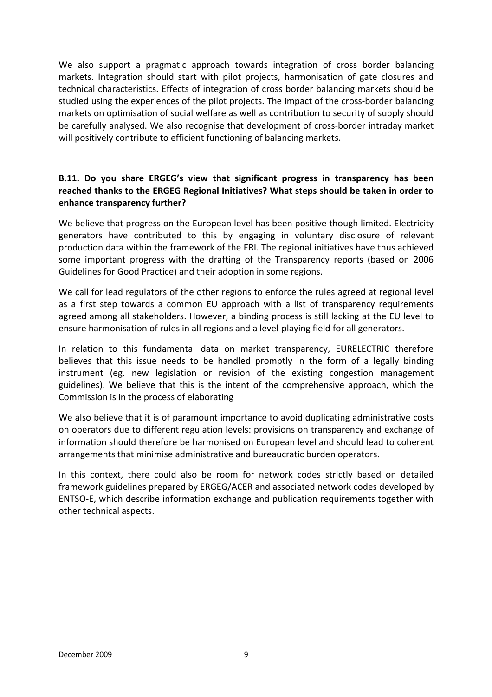We also support a pragmatic approach towards integration of cross border balancing markets. Integration should start with pilot projects, harmonisation of gate closures and technical characteristics. Effects of integration of cross border balancing markets should be studied using the experiences of the pilot projects. The impact of the cross‐border balancing markets on optimisation of social welfare as well as contribution to security of supply should be carefully analysed. We also recognise that development of cross‐border intraday market will positively contribute to efficient functioning of balancing markets.

## **B.11. Do you share ERGEG's view that significant progress in transparency has been reached thanks to the ERGEG Regional Initiatives? What steps should be taken in order to enhance transparency further?**

We believe that progress on the European level has been positive though limited. Electricity generators have contributed to this by engaging in voluntary disclosure of relevant production data within the framework of the ERI. The regional initiatives have thus achieved some important progress with the drafting of the Transparency reports (based on 2006 Guidelines for Good Practice) and their adoption in some regions.

We call for lead regulators of the other regions to enforce the rules agreed at regional level as a first step towards a common EU approach with a list of transparency requirements agreed among all stakeholders. However, a binding process is still lacking at the EU level to ensure harmonisation of rules in all regions and a level-playing field for all generators.

In relation to this fundamental data on market transparency, EURELECTRIC therefore believes that this issue needs to be handled promptly in the form of a legally binding instrument (eg. new legislation or revision of the existing congestion management guidelines). We believe that this is the intent of the comprehensive approach, which the Commission is in the process of elaborating

We also believe that it is of paramount importance to avoid duplicating administrative costs on operators due to different regulation levels: provisions on transparency and exchange of information should therefore be harmonised on European level and should lead to coherent arrangements that minimise administrative and bureaucratic burden operators.

In this context, there could also be room for network codes strictly based on detailed framework guidelines prepared by ERGEG/ACER and associated network codes developed by ENTSO‐E, which describe information exchange and publication requirements together with other technical aspects.